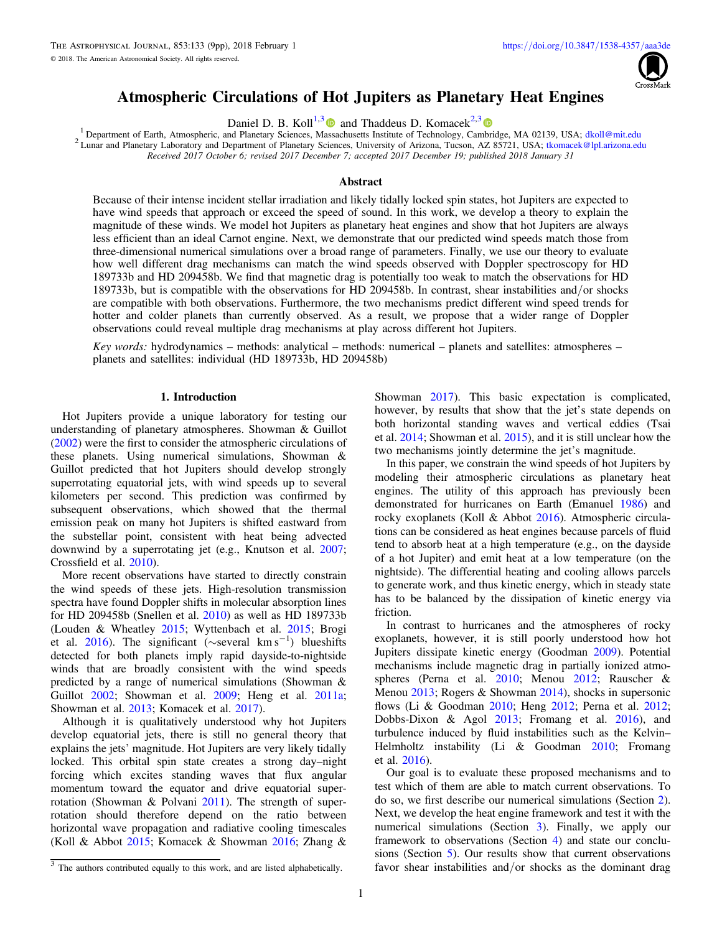

# Atmospheric Circulations of Hot Jupiters as Planetary Heat Engines

<span id="page-0-0"></span>**Daniel D. B. Koll<sup>1,[3](https://orcid.org/0000-0002-9258-5311)</sup> and Thaddeus D. Komacek**<sup>2,3</sup> and  $\frac{1}{2}$  and  $\frac{1}{2}$  and  $\frac{1}{2}$  and  $\frac{1}{2}$  and  $\frac{1}{2}$  and  $\frac{1}{2}$  and  $\frac{1}{2}$  and  $\frac{1}{2}$  and  $\frac{1}{2}$  and  $\frac{1}{2}$  and  $\frac{1}{2}$  and  $\frac{1}{2}$ <sup>2</sup> Lunar and Planetary Laboratory and Department of Planetary Sciences, University of Arizona, Tucson, AZ 85721, USA; [tkomacek@lpl.arizona.edu](mailto:tkomacek@lpl.arizona.edu) Received 2017 October 6; revised 2017 December 7; accepted 2017 December 19; published 2018 January 31

# **Abstract**

Because of their intense incident stellar irradiation and likely tidally locked spin states, hot Jupiters are expected to have wind speeds that approach or exceed the speed of sound. In this work, we develop a theory to explain the magnitude of these winds. We model hot Jupiters as planetary heat engines and show that hot Jupiters are always less efficient than an ideal Carnot engine. Next, we demonstrate that our predicted wind speeds match those from three-dimensional numerical simulations over a broad range of parameters. Finally, we use our theory to evaluate how well different drag mechanisms can match the wind speeds observed with Doppler spectroscopy for HD 189733b and HD 209458b. We find that magnetic drag is potentially too weak to match the observations for HD 189733b, but is compatible with the observations for HD 209458b. In contrast, shear instabilities and/or shocks are compatible with both observations. Furthermore, the two mechanisms predict different wind speed trends for hotter and colder planets than currently observed. As a result, we propose that a wider range of Doppler observations could reveal multiple drag mechanisms at play across different hot Jupiters.

Key words: hydrodynamics – methods: analytical – methods: numerical – planets and satellites: atmospheres – planets and satellites: individual (HD 189733b, HD 209458b)

### 1. Introduction

Hot Jupiters provide a unique laboratory for testing our understanding of planetary atmospheres. Showman & Guillot ([2002](#page-8-0)) were the first to consider the atmospheric circulations of these planets. Using numerical simulations, Showman & Guillot predicted that hot Jupiters should develop strongly superrotating equatorial jets, with wind speeds up to several kilometers per second. This prediction was confirmed by subsequent observations, which showed that the thermal emission peak on many hot Jupiters is shifted eastward from the substellar point, consistent with heat being advected downwind by a superrotating jet (e.g., Knutson et al. [2007](#page-8-0); Crossfield et al. [2010](#page-8-0)).

More recent observations have started to directly constrain the wind speeds of these jets. High-resolution transmission spectra have found Doppler shifts in molecular absorption lines for HD 209458b (Snellen et al. [2010](#page-8-0)) as well as HD 189733b (Louden & Wheatley [2015;](#page-8-0) Wyttenbach et al. [2015;](#page-8-0) Brogi et al. [2016](#page-8-0)). The significant (∼several km s<sup>-1</sup>) blueshifts detected for both planets imply rapid dayside-to-nightside winds that are broadly consistent with the wind speeds predicted by a range of numerical simulations (Showman & Guillot [2002](#page-8-0); Showman et al. [2009](#page-8-0); Heng et al. [2011a](#page-8-0); Showman et al. [2013](#page-8-0); Komacek et al. [2017](#page-8-0)).

Although it is qualitatively understood why hot Jupiters develop equatorial jets, there is still no general theory that explains the jets' magnitude. Hot Jupiters are very likely tidally locked. This orbital spin state creates a strong day–night forcing which excites standing waves that flux angular momentum toward the equator and drive equatorial superrotation (Showman & Polvani [2011](#page-8-0)). The strength of superrotation should therefore depend on the ratio between horizontal wave propagation and radiative cooling timescales (Koll & Abbot [2015;](#page-8-0) Komacek & Showman [2016;](#page-8-0) Zhang &

In this paper, we constrain the wind speeds of hot Jupiters by modeling their atmospheric circulations as planetary heat engines. The utility of this approach has previously been demonstrated for hurricanes on Earth (Emanuel [1986](#page-8-0)) and rocky exoplanets (Koll & Abbot [2016](#page-8-0)). Atmospheric circulations can be considered as heat engines because parcels of fluid tend to absorb heat at a high temperature (e.g., on the dayside of a hot Jupiter) and emit heat at a low temperature (on the nightside). The differential heating and cooling allows parcels to generate work, and thus kinetic energy, which in steady state has to be balanced by the dissipation of kinetic energy via friction.

In contrast to hurricanes and the atmospheres of rocky exoplanets, however, it is still poorly understood how hot Jupiters dissipate kinetic energy (Goodman [2009](#page-8-0)). Potential mechanisms include magnetic drag in partially ionized atmospheres (Perna et al. [2010](#page-8-0); Menou [2012](#page-8-0); Rauscher & Menou [2013;](#page-8-0) Rogers & Showman [2014](#page-8-0)), shocks in supersonic flows (Li & Goodman [2010](#page-8-0); Heng [2012;](#page-8-0) Perna et al. [2012](#page-8-0); Dobbs-Dixon & Agol [2013;](#page-8-0) Fromang et al. [2016](#page-8-0)), and turbulence induced by fluid instabilities such as the Kelvin– Helmholtz instability (Li & Goodman [2010;](#page-8-0) Fromang et al. [2016](#page-8-0)).

Our goal is to evaluate these proposed mechanisms and to test which of them are able to match current observations. To do so, we first describe our numerical simulations (Section [2](#page-1-0)). Next, we develop the heat engine framework and test it with the numerical simulations (Section [3](#page-3-0)). Finally, we apply our framework to observations (Section [4](#page-5-0)) and state our conclusions (Section [5](#page-6-0)). Our results show that current observations favor shear instabilities and/or shocks as the dominant drag

Showman [2017](#page-8-0)). This basic expectation is complicated, however, by results that show that the jet's state depends on both horizontal standing waves and vertical eddies (Tsai et al. [2014](#page-8-0); Showman et al. [2015](#page-8-0)), and it is still unclear how the two mechanisms jointly determine the jet's magnitude.

<sup>&</sup>lt;sup>3</sup> The authors contributed equally to this work, and are listed alphabetically.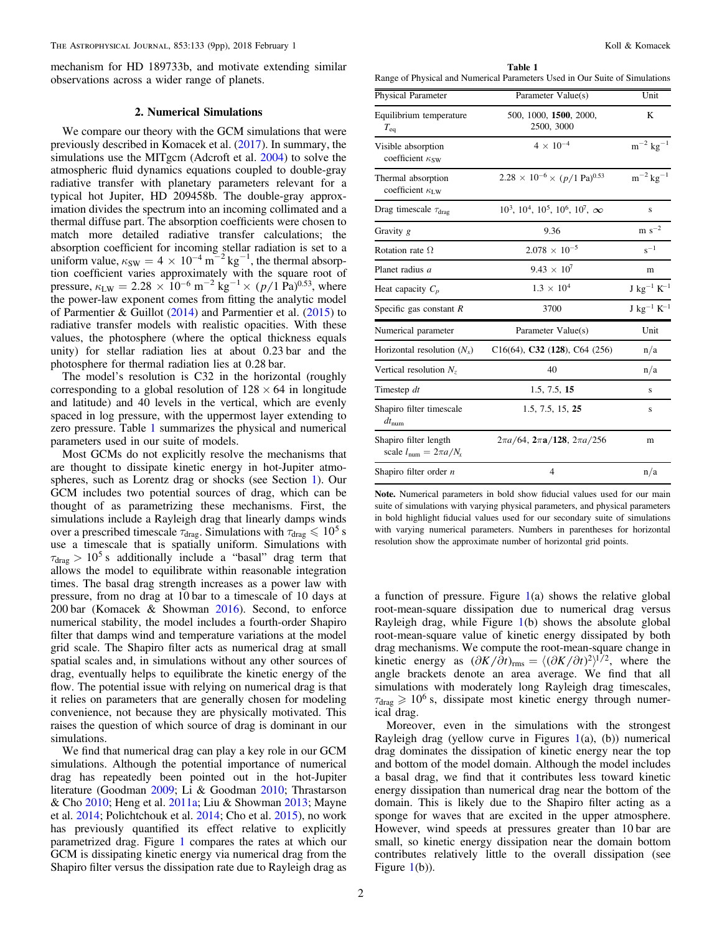<span id="page-1-0"></span>mechanism for HD 189733b, and motivate extending similar observations across a wider range of planets.

### 2. Numerical Simulations

We compare our theory with the GCM simulations that were previously described in Komacek et al. ([2017](#page-8-0)). In summary, the simulations use the MITgcm (Adcroft et al. [2004](#page-8-0)) to solve the atmospheric fluid dynamics equations coupled to double-gray radiative transfer with planetary parameters relevant for a typical hot Jupiter, HD 209458b. The double-gray approximation divides the spectrum into an incoming collimated and a thermal diffuse part. The absorption coefficients were chosen to match more detailed radiative transfer calculations; the absorption coefficient for incoming stellar radiation is set to a uniform value,  $\kappa_{SW} = 4 \times 10^{-4} \text{ m}^{-2} \text{ kg}^{-1}$ , the thermal absorption coefficient varies approximately with the square root of pressure,  $\kappa_{\text{LW}} = 2.28 \times 10^{-6} \text{ m}^{-2} \text{ kg}^{-1} \times (p/1 \text{ Pa})^{0.53}$ , where the power-law exponent comes from fitting the analytic model of Parmentier & Guillot ([2014](#page-8-0)) and Parmentier et al. ([2015](#page-8-0)) to radiative transfer models with realistic opacities. With these values, the photosphere (where the optical thickness equals unity) for stellar radiation lies at about 0.23 bar and the photosphere for thermal radiation lies at 0.28 bar.

The model's resolution is C32 in the horizontal (roughly corresponding to a global resolution of  $128 \times 64$  in longitude and latitude) and 40 levels in the vertical, which are evenly spaced in log pressure, with the uppermost layer extending to zero pressure. Table 1 summarizes the physical and numerical parameters used in our suite of models.

Most GCMs do not explicitly resolve the mechanisms that are thought to dissipate kinetic energy in hot-Jupiter atmospheres, such as Lorentz drag or shocks (see Section [1](#page-0-0)). Our GCM includes two potential sources of drag, which can be thought of as parametrizing these mechanisms. First, the simulations include a Rayleigh drag that linearly damps winds over a prescribed timescale  $\tau_{drag}$ . Simulations with  $\tau_{drag} \leq 10^5$  s use a timescale that is spatially uniform. Simulations with  $\tau_{drag} > 10^5$  s additionally include a "basal" drag term that allows the model to equilibrate within reasonable integration times. The basal drag strength increases as a power law with pressure, from no drag at 10 bar to a timescale of 10 days at 200 bar (Komacek & Showman [2016](#page-8-0)). Second, to enforce numerical stability, the model includes a fourth-order Shapiro filter that damps wind and temperature variations at the model grid scale. The Shapiro filter acts as numerical drag at small spatial scales and, in simulations without any other sources of drag, eventually helps to equilibrate the kinetic energy of the flow. The potential issue with relying on numerical drag is that it relies on parameters that are generally chosen for modeling convenience, not because they are physically motivated. This raises the question of which source of drag is dominant in our simulations.

We find that numerical drag can play a key role in our GCM simulations. Although the potential importance of numerical drag has repeatedly been pointed out in the hot-Jupiter literature (Goodman [2009;](#page-8-0) Li & Goodman [2010](#page-8-0); Thrastarson & Cho [2010](#page-8-0); Heng et al. [2011a](#page-8-0); Liu & Showman [2013](#page-8-0); Mayne et al. [2014;](#page-8-0) Polichtchouk et al. [2014;](#page-8-0) Cho et al. [2015](#page-8-0)), no work has previously quantified its effect relative to explicitly parametrized drag. Figure [1](#page-2-0) compares the rates at which our GCM is dissipating kinetic energy via numerical drag from the Shapiro filter versus the dissipation rate due to Rayleigh drag as

Table 1 Range of Physical and Numerical Parameters Used in Our Suite of Simulations

| Physical Parameter                                           | Parameter Value(s)                                    | Unit                                |
|--------------------------------------------------------------|-------------------------------------------------------|-------------------------------------|
| Equilibrium temperature<br>$T_{\rm eq}$                      | 500, 1000, 1500, 2000,<br>2500, 3000                  | K                                   |
| Visible absorption<br>coefficient $\kappa_{SW}$              | $4 \times 10^{-4}$                                    | $\mathrm{m}^{-2}$ kg $^{-1}$        |
| Thermal absorption<br>coefficient $\kappa_{\text{LW}}$       | $2.28 \times 10^{-6} \times (p/1 \text{ Pa})^{0.53}$  | $\mathrm{m}^{-2}\,\mathrm{kg}^{-1}$ |
| Drag timescale $\tau_{drag}$                                 | $10^3$ , $10^4$ , $10^5$ , $10^6$ , $10^7$ , $\infty$ | S                                   |
| Gravity g                                                    | 9.36                                                  | $m s^{-2}$                          |
| Rotation rate $\Omega$                                       | $2.078 \times 10^{-5}$                                | $s^{-1}$                            |
| Planet radius a                                              | $9.43 \times 10^{7}$                                  | m                                   |
| Heat capacity $C_p$                                          | $1.3 \times 10^{4}$                                   | $J kg^{-1} K^{-1}$                  |
| Specific gas constant $R$                                    | 3700                                                  | $J kg^{-1} K^{-1}$                  |
| Numerical parameter                                          | Parameter Value(s)                                    | Unit                                |
| Horizontal resolution $(N_x)$                                | $C16(64)$ , C32 (128), C64 (256)                      | n/a                                 |
| Vertical resolution $N_z$                                    | 40                                                    | n/a                                 |
| Timestep dt                                                  | 1.5, 7.5, 15                                          | S                                   |
| Shapiro filter timescale<br>$dt_{\text{num}}$                | 1.5, 7.5, 15, 25                                      | s                                   |
| Shapiro filter length<br>scale $l_{\text{num}} = 2\pi a/N_x$ | $2\pi a/64$ , $2\pi a/128$ , $2\pi a/256$             | m                                   |
| Shapiro filter order $n$                                     | $\overline{4}$                                        | n/a                                 |

Note. Numerical parameters in bold show fiducial values used for our main suite of simulations with varying physical parameters, and physical parameters in bold highlight fiducial values used for our secondary suite of simulations with varying numerical parameters. Numbers in parentheses for horizontal resolution show the approximate number of horizontal grid points.

a function of pressure. Figure  $1(a)$  $1(a)$  shows the relative global root-mean-square dissipation due to numerical drag versus Rayleigh drag, while Figure [1](#page-2-0)(b) shows the absolute global root-mean-square value of kinetic energy dissipated by both drag mechanisms. We compute the root-mean-square change in kinetic energy as  $(\partial K/\partial t)_{\text{rms}} = \langle (\partial K/\partial t)^2 \rangle^{1/2}$ , where the angle brackets denote an area average. We find that all simulations with moderately long Rayleigh drag timescales,  $\tau_{drag} \geq 10^6$  s, dissipate most kinetic energy through numerical drag.

Moreover, even in the simulations with the strongest Rayleigh drag (yellow curve in Figures  $1(a)$  $1(a)$ , (b)) numerical drag dominates the dissipation of kinetic energy near the top and bottom of the model domain. Although the model includes a basal drag, we find that it contributes less toward kinetic energy dissipation than numerical drag near the bottom of the domain. This is likely due to the Shapiro filter acting as a sponge for waves that are excited in the upper atmosphere. However, wind speeds at pressures greater than 10 bar are small, so kinetic energy dissipation near the domain bottom contributes relatively little to the overall dissipation (see Figure [1](#page-2-0)(b)).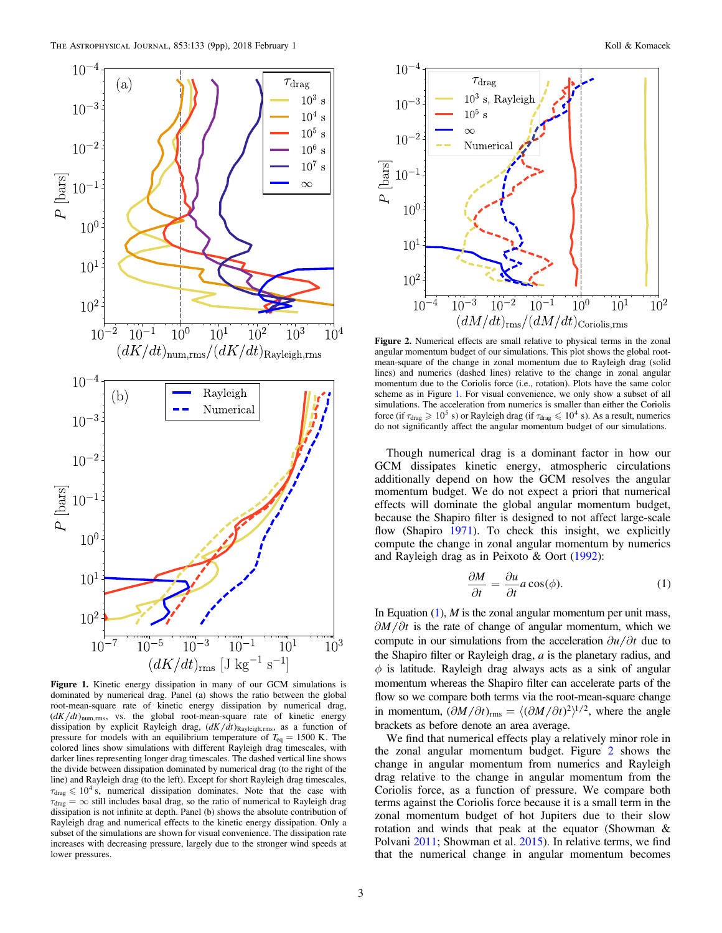<span id="page-2-0"></span>

Figure 1. Kinetic energy dissipation in many of our GCM simulations is dominated by numerical drag. Panel (a) shows the ratio between the global root-mean-square rate of kinetic energy dissipation by numerical drag,  $\left( \frac{dK}{dt} \right)$ <sub>num,rms</sub>, vs. the global root-mean-square rate of kinetic energy dissipation by explicit Rayleigh drag,  $(dK/dt)_{\text{Rayleigh,rms}}$ , as a function of pressure for models with an equilibrium temperature of *T*eq = 1500 K. The colored lines show simulations with different Rayleigh drag timescales, with darker lines representing longer drag timescales. The dashed vertical line shows the divide between dissipation dominated by numerical drag (to the right of the line) and Rayleigh drag (to the left). Except for short Rayleigh drag timescales,  $\tau_{drag} \leq 10^4$  s, numerical dissipation dominates. Note that the case with  $\tau_{drag} = \infty$  still includes basal drag, so the ratio of numerical to Rayleigh drag dissipation is not infinite at depth. Panel (b) shows the absolute contribution of Rayleigh drag and numerical effects to the kinetic energy dissipation. Only a subset of the simulations are shown for visual convenience. The dissipation rate increases with decreasing pressure, largely due to the stronger wind speeds at lower pressures.



Figure 2. Numerical effects are small relative to physical terms in the zonal angular momentum budget of our simulations. This plot shows the global rootmean-square of the change in zonal momentum due to Rayleigh drag (solid lines) and numerics (dashed lines) relative to the change in zonal angular momentum due to the Coriolis force (i.e., rotation). Plots have the same color scheme as in Figure 1. For visual convenience, we only show a subset of all simulations. The acceleration from numerics is smaller than either the Coriolis force (if  $\tau_{drag} \geq 10^5$  s) or Rayleigh drag (if  $\tau_{drag} \leq 10^4$  s). As a result, numerics do not significantly affect the angular momentum budget of our simulations.

Though numerical drag is a dominant factor in how our GCM dissipates kinetic energy, atmospheric circulations additionally depend on how the GCM resolves the angular momentum budget. We do not expect a priori that numerical effects will dominate the global angular momentum budget, because the Shapiro filter is designed to not affect large-scale flow (Shapiro [1971](#page-8-0)). To check this insight, we explicitly compute the change in zonal angular momentum by numerics and Rayleigh drag as in Peixoto & Oort ([1992](#page-8-0)):

$$
\frac{\partial M}{\partial t} = \frac{\partial u}{\partial t} a \cos(\phi). \tag{1}
$$

In Equation  $(1)$ , M is the zonal angular momentum per unit mass,  $\partial M/\partial t$  is the rate of change of angular momentum, which we compute in our simulations from the acceleration  $\partial u / \partial t$  due to the Shapiro filter or Rayleigh drag,  $a$  is the planetary radius, and  $\phi$  is latitude. Rayleigh drag always acts as a sink of angular momentum whereas the Shapiro filter can accelerate parts of the flow so we compare both terms via the root-mean-square change in momentum,  $(\partial M/\partial t)_{\text{rms}} = \langle (\partial M/\partial t)^2 \rangle^{1/2}$ , where the angle brackets as before denote an area average.

We find that numerical effects play a relatively minor role in the zonal angular momentum budget. Figure 2 shows the change in angular momentum from numerics and Rayleigh drag relative to the change in angular momentum from the Coriolis force, as a function of pressure. We compare both terms against the Coriolis force because it is a small term in the zonal momentum budget of hot Jupiters due to their slow rotation and winds that peak at the equator (Showman & Polvani [2011;](#page-8-0) Showman et al. [2015](#page-8-0)). In relative terms, we find that the numerical change in angular momentum becomes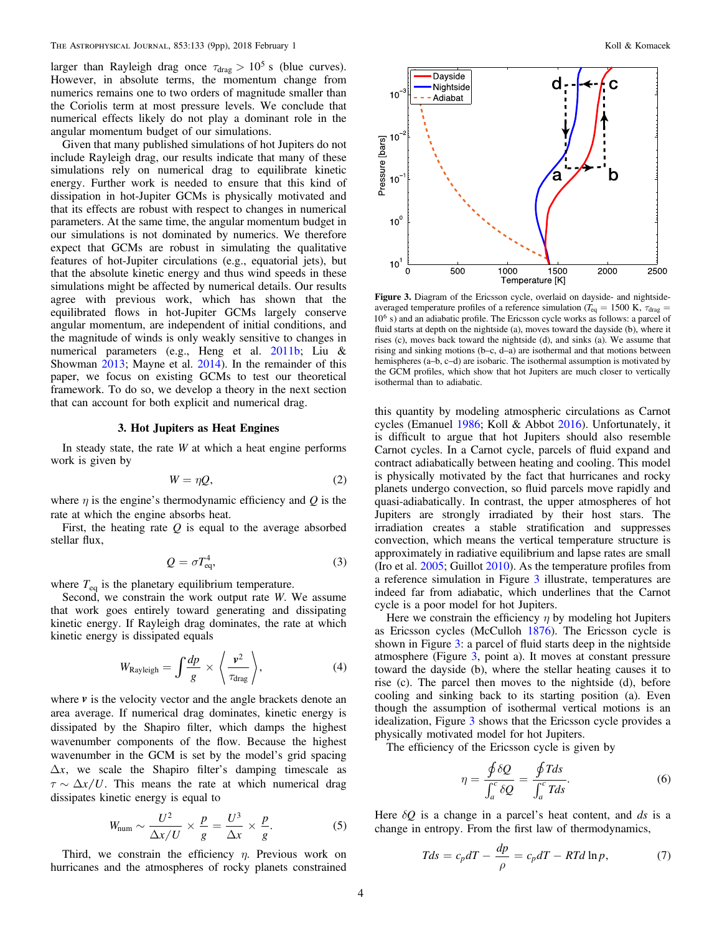<span id="page-3-0"></span>larger than Rayleigh drag once  $\tau_{drag} > 10^5$  s (blue curves). However, in absolute terms, the momentum change from numerics remains one to two orders of magnitude smaller than the Coriolis term at most pressure levels. We conclude that numerical effects likely do not play a dominant role in the angular momentum budget of our simulations.

Given that many published simulations of hot Jupiters do not include Rayleigh drag, our results indicate that many of these simulations rely on numerical drag to equilibrate kinetic energy. Further work is needed to ensure that this kind of dissipation in hot-Jupiter GCMs is physically motivated and that its effects are robust with respect to changes in numerical parameters. At the same time, the angular momentum budget in our simulations is not dominated by numerics. We therefore expect that GCMs are robust in simulating the qualitative features of hot-Jupiter circulations (e.g., equatorial jets), but that the absolute kinetic energy and thus wind speeds in these simulations might be affected by numerical details. Our results agree with previous work, which has shown that the equilibrated flows in hot-Jupiter GCMs largely conserve angular momentum, are independent of initial conditions, and the magnitude of winds is only weakly sensitive to changes in numerical parameters (e.g., Heng et al. [2011b;](#page-8-0) Liu & Showman [2013](#page-8-0); Mayne et al. [2014](#page-8-0)). In the remainder of this paper, we focus on existing GCMs to test our theoretical framework. To do so, we develop a theory in the next section that can account for both explicit and numerical drag.

#### 3. Hot Jupiters as Heat Engines

In steady state, the rate  $W$  at which a heat engine performs work is given by

$$
W = \eta Q, \tag{2}
$$

where  $\eta$  is the engine's thermodynamic efficiency and Q is the rate at which the engine absorbs heat.

First, the heating rate  $Q$  is equal to the average absorbed stellar flux,

$$
Q = \sigma T_{\text{eq}}^4,\tag{3}
$$

where  $T_{eq}$  is the planetary equilibrium temperature.

Second, we constrain the work output rate W. We assume that work goes entirely toward generating and dissipating kinetic energy. If Rayleigh drag dominates, the rate at which kinetic energy is dissipated equals

$$
W_{\text{Rayleigh}} = \int \frac{dp}{g} \times \left\langle \frac{v^2}{\tau_{\text{drag}}} \right\rangle, \tag{4}
$$

where  $\nu$  is the velocity vector and the angle brackets denote an area average. If numerical drag dominates, kinetic energy is dissipated by the Shapiro filter, which damps the highest wavenumber components of the flow. Because the highest wavenumber in the GCM is set by the model's grid spacing  $\Delta x$ , we scale the Shapiro filter's damping timescale as  $\tau \sim \Delta x/U$ . This means the rate at which numerical drag dissipates kinetic energy is equal to

$$
W_{\text{num}} \sim \frac{U^2}{\Delta x/U} \times \frac{p}{g} = \frac{U^3}{\Delta x} \times \frac{p}{g}.
$$
 (5)

Third, we constrain the efficiency  $\eta$ . Previous work on hurricanes and the atmospheres of rocky planets constrained



Figure 3. Diagram of the Ericsson cycle, overlaid on dayside- and nightsideaveraged temperature profiles of a reference simulation ( $T_{eq} = 1500 \text{ K}$ ,  $\tau_{drag} =$  $10<sup>6</sup>$  s) and an adiabatic profile. The Ericsson cycle works as follows: a parcel of fluid starts at depth on the nightside (a), moves toward the dayside (b), where it rises (c), moves back toward the nightside (d), and sinks (a). We assume that rising and sinking motions (b–c, d–a) are isothermal and that motions between hemispheres (a–b, c–d) are isobaric. The isothermal assumption is motivated by the GCM profiles, which show that hot Jupiters are much closer to vertically isothermal than to adiabatic.

this quantity by modeling atmospheric circulations as Carnot cycles (Emanuel [1986](#page-8-0); Koll & Abbot [2016](#page-8-0)). Unfortunately, it is difficult to argue that hot Jupiters should also resemble Carnot cycles. In a Carnot cycle, parcels of fluid expand and contract adiabatically between heating and cooling. This model is physically motivated by the fact that hurricanes and rocky planets undergo convection, so fluid parcels move rapidly and quasi-adiabatically. In contrast, the upper atmospheres of hot Jupiters are strongly irradiated by their host stars. The irradiation creates a stable stratification and suppresses convection, which means the vertical temperature structure is approximately in radiative equilibrium and lapse rates are small (Iro et al. [2005;](#page-8-0) Guillot [2010](#page-8-0)). As the temperature profiles from a reference simulation in Figure 3 illustrate, temperatures are indeed far from adiabatic, which underlines that the Carnot cycle is a poor model for hot Jupiters.

Here we constrain the efficiency  $\eta$  by modeling hot Jupiters as Ericsson cycles (McCulloh [1876](#page-8-0)). The Ericsson cycle is shown in Figure 3: a parcel of fluid starts deep in the nightside atmosphere (Figure 3, point a). It moves at constant pressure toward the dayside (b), where the stellar heating causes it to rise (c). The parcel then moves to the nightside (d), before cooling and sinking back to its starting position (a). Even though the assumption of isothermal vertical motions is an idealization, Figure 3 shows that the Ericsson cycle provides a physically motivated model for hot Jupiters.

The efficiency of the Ericsson cycle is given by

$$
\eta = \frac{\oint \delta Q}{\int_a^c \delta Q} = \frac{\oint T ds}{\int_a^c T ds}.
$$
\n(6)

Here  $\delta Q$  is a change in a parcel's heat content, and  $ds$  is a change in entropy. From the first law of thermodynamics,

$$
Tds = c_p dT - \frac{dp}{\rho} = c_p dT - RTd \ln p,\tag{7}
$$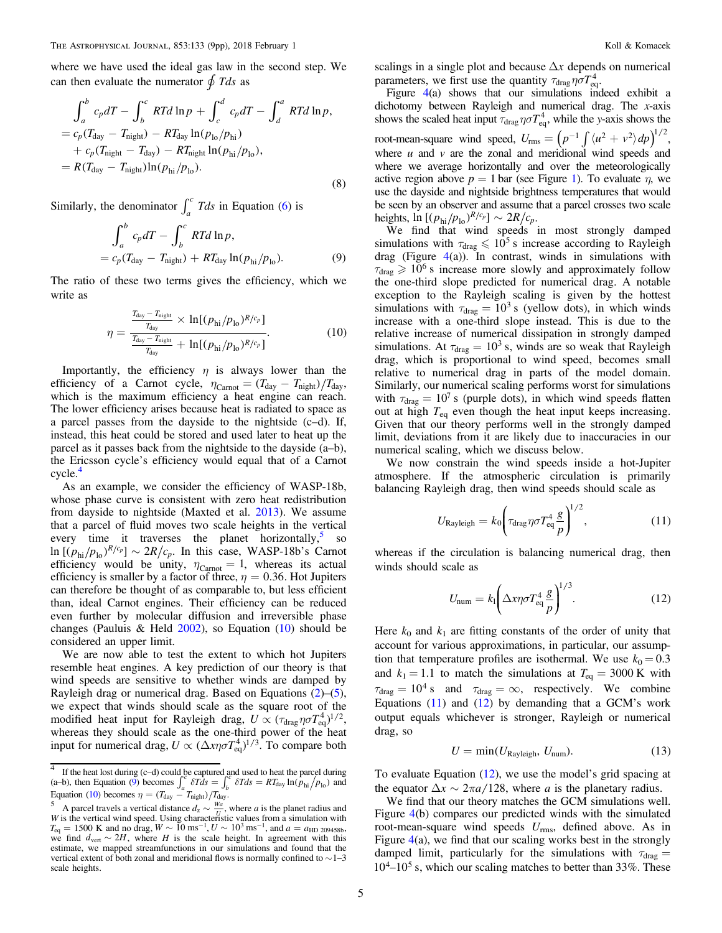<span id="page-4-0"></span>where we have used the ideal gas law in the second step. We can then evaluate the numerator  $\oint T ds$  as

$$
\int_{a}^{b} c_{p}dT - \int_{b}^{c} RTd \ln p + \int_{c}^{d} c_{p}dT - \int_{d}^{a} RTd \ln p,
$$
  
=  $c_{p}(T_{\text{day}} - T_{\text{night}}) - RT_{\text{day}} \ln(p_{\text{lo}}/p_{\text{hi}})$   
+  $c_{p}(T_{\text{night}} - T_{\text{day}}) - RT_{\text{night}} \ln(p_{\text{hi}}/p_{\text{lo}}),$   
=  $R(T_{\text{day}} - T_{\text{night}}) \ln(p_{\text{hi}}/p_{\text{lo}}).$  (8)

Similarly, the denominator  $\int_a^c T ds$  in Equation ([6](#page-3-0)) is

$$
\int_{a}^{b} c_p dT - \int_{b}^{c} RTd \ln p,
$$
  
=  $c_p(T_{\text{day}} - T_{\text{night}}) + RT_{\text{day}} \ln(p_{\text{hi}}/p_{\text{lo}}).$  (9)

The ratio of these two terms gives the efficiency, which we write as

$$
\eta = \frac{\frac{T_{\text{day}} - T_{\text{night}}}{T_{\text{day}}}}{\frac{T_{\text{day}} - T_{\text{night}}}{T_{\text{day}}} + \ln[(p_{\text{hi}}/p_{\text{lo}})^{R/c_p}]}.
$$
(10)

Importantly, the efficiency  $\eta$  is always lower than the efficiency of a Carnot cycle,  $\eta_{\text{Carnot}} = (T_{\text{day}} - T_{\text{night}}) / T_{\text{day}}$ , which is the maximum efficiency a heat engine can reach. The lower efficiency arises because heat is radiated to space as a parcel passes from the dayside to the nightside (c–d). If, instead, this heat could be stored and used later to heat up the parcel as it passes back from the nightside to the dayside (a–b), the Ericsson cycle's efficiency would equal that of a Carnot cycle.<sup>4</sup>

As an example, we consider the efficiency of WASP-18b, whose phase curve is consistent with zero heat redistribution from dayside to nightside (Maxted et al. [2013](#page-8-0)). We assume that a parcel of fluid moves two scale heights in the vertical every time it traverses the planet horizontally, so  $\ln \left[ (p_{\text{hi}}/p_{\text{lo}})^{R/c_p} \right] \sim 2R/c_p$ . In this case, WASP-18b's Carnot efficiency would be unity,  $\eta_{\text{Carnot}} = 1$ , whereas its actual efficiency is smaller by a factor of three,  $\eta = 0.36$ . Hot Jupiters can therefore be thought of as comparable to, but less efficient than, ideal Carnot engines. Their efficiency can be reduced even further by molecular diffusion and irreversible phase changes (Pauluis & Held [2002](#page-8-0)), so Equation  $(10)$  should be considered an upper limit.

We are now able to test the extent to which hot Jupiters resemble heat engines. A key prediction of our theory is that wind speeds are sensitive to whether winds are damped by Rayleigh drag or numerical drag. Based on Equations  $(2)$  $(2)$  $(2)$ – $(5)$  $(5)$  $(5)$ , we expect that winds should scale as the square root of the modified heat input for Rayleigh drag,  $U \propto (\tau_{\text{drag}} \eta \sigma T_{\text{eq}}^4)^{1/2}$ , whereas they should scale as the one-third power of the heat input for numerical drag,  $U \propto (\Delta x \eta \sigma T_{\text{eq}}^4)^{1/3}$ . To compare both scalings in a single plot and because  $\Delta x$  depends on numerical parameters, we first use the quantity  $\tau_{drag} \eta \sigma T_{eq}^4$ .

Figure [4](#page-5-0)(a) shows that our simulations indeed exhibit a dichotomy between Rayleigh and numerical drag. The x-axis shows the scaled heat input  $\tau_{drag} \eta \sigma T_{eq}^4$ , while the y-axis shows the root-mean-square wind speed,  $U_{\text{rms}} = \left(p^{-1} \int \langle u^2 + v^2 \rangle dp \right)^{1/2}$ , where  $u$  and  $v$  are the zonal and meridional wind speeds and where we average horizontally and over the meteorologically active region above  $p = 1$  $p = 1$  bar (see Figure 1). To evaluate  $\eta$ , we use the dayside and nightside brightness temperatures that would be seen by an observer and assume that a parcel crosses two scale heights,  $\ln \left[ (p_{\text{hi}}/p_{\text{lo}})^{R/c_p} \right] \sim 2R/c_p$ .

We find that wind speeds in most strongly damped simulations with  $\tau_{drag} \leq 10^5$  s increase according to Rayleigh drag (Figure  $4(a)$  $4(a)$ ). In contrast, winds in simulations with  $\tau_{drag} \geq 10^6$  s increase more slowly and approximately follow the one-third slope predicted for numerical drag. A notable exception to the Rayleigh scaling is given by the hottest simulations with  $\tau_{drag} = 10^3$  s (yellow dots), in which winds increase with a one-third slope instead. This is due to the relative increase of numerical dissipation in strongly damped simulations. At  $\tau_{drag} = 10^3$  s, winds are so weak that Rayleigh drag, which is proportional to wind speed, becomes small relative to numerical drag in parts of the model domain. Similarly, our numerical scaling performs worst for simulations with  $\tau_{drag} = 10^7$  s (purple dots), in which wind speeds flatten out at high  $T_{eq}$  even though the heat input keeps increasing. Given that our theory performs well in the strongly damped limit, deviations from it are likely due to inaccuracies in our numerical scaling, which we discuss below.

We now constrain the wind speeds inside a hot-Jupiter atmosphere. If the atmospheric circulation is primarily balancing Rayleigh drag, then wind speeds should scale as

$$
U_{\text{Rayleigh}} = k_0 \left( \tau_{\text{drag}} \eta \sigma T_{\text{eq}}^4 \frac{g}{p} \right)^{1/2},\tag{11}
$$

whereas if the circulation is balancing numerical drag, then winds should scale as

$$
U_{\text{num}} = k_1 \left( \Delta x \eta \sigma T_{\text{eq}}^4 \frac{g}{p} \right)^{1/3}.
$$
 (12)

Here  $k_0$  and  $k_1$  are fitting constants of the order of unity that account for various approximations, in particular, our assumption that temperature profiles are isothermal. We use  $k_0 = 0.3$ and  $k_1 = 1.1$  to match the simulations at  $T_{eq} = 3000 \text{ K}$  with  $\tau_{drag} = 10^4$  s and  $\tau_{drag} = \infty$ , respectively. We combine Equations  $(11)$  and  $(12)$  by demanding that a GCM's work output equals whichever is stronger, Rayleigh or numerical drag, so

$$
U = \min(U_{\text{Rayleigh}}, U_{\text{num}}). \tag{13}
$$

To evaluate Equation (12), we use the model's grid spacing at the equator  $\Delta x \sim 2\pi a/128$ , where a is the planetary radius.

We find that our theory matches the GCM simulations well. Figure [4](#page-5-0)(b) compares our predicted winds with the simulated root-mean-square wind speeds  $U_{\text{rms}}$ , defined above. As in Figure [4](#page-5-0)(a), we find that our scaling works best in the strongly damped limit, particularly for the simulations with  $\tau_{drag}$  $10^4 - 10^5$  s, which our scaling matches to better than 33%. These

 $4$  If the heat lost during (c–d) could be captured and used to heat the parcel during The first text damp (e a) count  $\int_a^b 6T ds = \int_b^b 6T ds = RT_{day} \ln(p_{hi}/p_{hi})$ *b*  $\int_{a}^{b} 6T ds = \int_{b}^{c} 6T ds = RT_{day} \ln(p_{hi}/p_{lo})$  and

Equation (10) becomes  $\eta = (T_{\text{day}} - T_{\text{night}})/T_{\text{day}}$ .<br>
<sup>5</sup> A parcel travels a vertical distance  $d_z \sim \frac{Wa}{U}$ , where *a* is the planet radius and W is the vertical wind speed. Using characteristic values from a simulation with  $W$  is the vertical wind speed. Using characteristic values from a simulation with  $T_{\text{eq}} = 1500 \text{ K}$  and no drag,  $W \sim 10 \text{ ms}^{-1}$ ,  $U \sim 10^3 \text{ ms}^{-1}$ , and  $a = a_{\text{HD 209458b}}$ , we find  $d_{\text{vert}} \sim 2H$ , where *H* is the scale height. In agreement with this estimate, we mapped streamfunctions in our simulations and found that the vertical extent of both zonal and meridional flows is normally confined to  $\sim$  1–3 scale heights.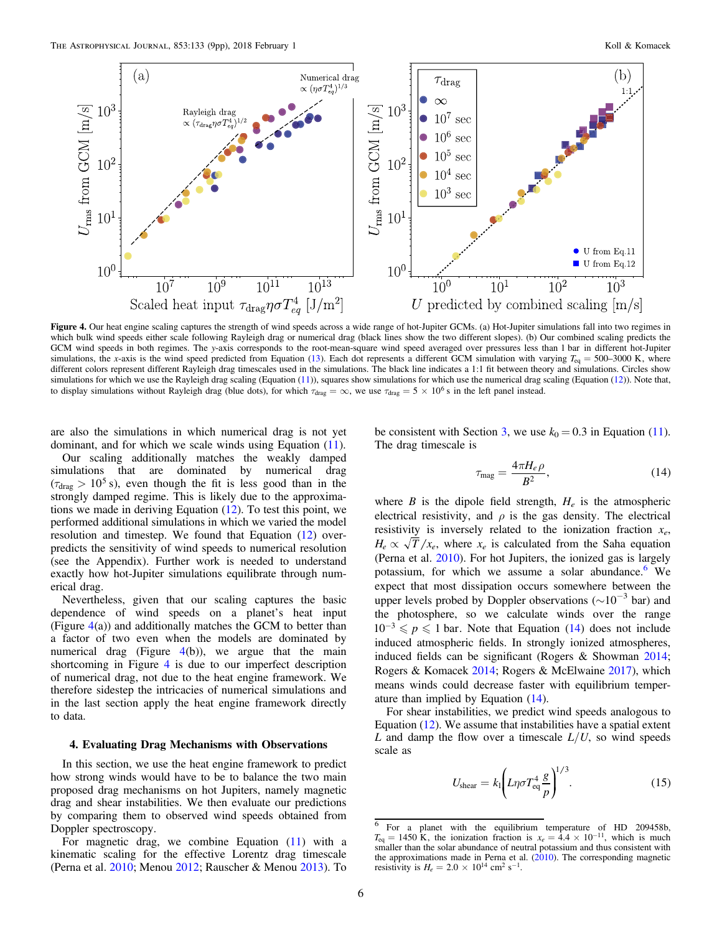<span id="page-5-0"></span>

Figure 4. Our heat engine scaling captures the strength of wind speeds across a wide range of hot-Jupiter GCMs. (a) Hot-Jupiter simulations fall into two regimes in which bulk wind speeds either scale following Rayleigh drag or numerical drag (black lines show the two different slopes). (b) Our combined scaling predicts the GCM wind speeds in both regimes. The y-axis corresponds to the root-mean-square wind speed averaged over pressures less than 1 bar in different hot-Jupiter simulations, the x-axis is the wind speed predicted from Equation ([13](#page-4-0)). Each dot represents a different GCM simulation with varying  $T_{eq} = 500-3000$  K, where different colors represent different Rayleigh drag timescales used in the simulations. The black line indicates a 1:1 fit between theory and simulations. Circles show simulations for which we use the Rayleigh drag scaling (Equation ([11](#page-4-0))), squares show simulations for which use the numerical drag scaling (Equation ([12](#page-4-0))). Note that, to display simulations without Rayleigh drag (blue dots), for which  $\tau_{drag} = \infty$ , we use  $\tau_{drag} = 5 \times 10^6$  s in the left panel instead.

are also the simulations in which numerical drag is not yet dominant, and for which we scale winds using Equation ([11](#page-4-0)).

Our scaling additionally matches the weakly damped simulations that are dominated by numerical drag  $(\tau_{drag} > 10^5 s)$ , even though the fit is less good than in the strongly damped regime. This is likely due to the approximations we made in deriving Equation ([12](#page-4-0)). To test this point, we performed additional simulations in which we varied the model resolution and timestep. We found that Equation ([12](#page-4-0)) overpredicts the sensitivity of wind speeds to numerical resolution (see the Appendix). Further work is needed to understand exactly how hot-Jupiter simulations equilibrate through numerical drag.

Nevertheless, given that our scaling captures the basic dependence of wind speeds on a planet's heat input (Figure  $4(a)$ ) and additionally matches the GCM to better than a factor of two even when the models are dominated by numerical drag (Figure  $4(b)$ ), we argue that the main shortcoming in Figure 4 is due to our imperfect description of numerical drag, not due to the heat engine framework. We therefore sidestep the intricacies of numerical simulations and in the last section apply the heat engine framework directly to data.

# 4. Evaluating Drag Mechanisms with Observations

In this section, we use the heat engine framework to predict how strong winds would have to be to balance the two main proposed drag mechanisms on hot Jupiters, namely magnetic drag and shear instabilities. We then evaluate our predictions by comparing them to observed wind speeds obtained from Doppler spectroscopy.

For magnetic drag, we combine Equation  $(11)$  $(11)$  $(11)$  with a kinematic scaling for the effective Lorentz drag timescale (Perna et al. [2010;](#page-8-0) Menou [2012](#page-8-0); Rauscher & Menou [2013](#page-8-0)). To

be consistent with Section [3](#page-3-0), we use  $k_0 = 0.3$  in Equation ([11](#page-4-0)). The drag timescale is

$$
\tau_{\text{mag}} = \frac{4\pi H_e \rho}{B^2},\tag{14}
$$

where B is the dipole field strength,  $H_e$  is the atmospheric electrical resistivity, and  $\rho$  is the gas density. The electrical resistivity is inversely related to the ionization fraction  $x_e$ ,  $H_e \propto \sqrt{T/x_e}$ , where  $x_e$  is calculated from the Saha equation (Perna et al. [2010](#page-8-0)). For hot Jupiters, the ionized gas is largely potassium, for which we assume a solar abundance.<sup>6</sup> We expect that most dissipation occurs somewhere between the upper levels probed by Doppler observations ( $\sim 10^{-3}$  bar) and the photosphere, so we calculate winds over the range  $10^{-3} \leqslant p \leqslant 1$  bar. Note that Equation (14) does not include induced atmospheric fields. In strongly ionized atmospheres, induced fields can be significant (Rogers & Showman [2014](#page-8-0); Rogers & Komacek [2014](#page-8-0); Rogers & McElwaine [2017](#page-8-0)), which means winds could decrease faster with equilibrium temperature than implied by Equation (14).

For shear instabilities, we predict wind speeds analogous to Equation ([12](#page-4-0)). We assume that instabilities have a spatial extent L and damp the flow over a timescale  $L/U$ , so wind speeds scale as

$$
U_{\text{shear}} = k_1 \left( L \eta \sigma T_{\text{eq}}^4 \frac{g}{p} \right)^{1/3}.
$$
 (15)

<sup>6</sup> For a planet with the equilibrium temperature of HD 209458b,  $T_{eq} = 1450 \text{ K}$ , the ionization fraction is  $x_e = 4.4 \times 10^{-11}$ , which is much smaller than the solar abundance of neutral potassium and thus consistent with the approximations made in Perna et al.  $(2010)$  $(2010)$  $(2010)$ . The corresponding magnetic resistivity is  $H_e = 2.0 \times 10^{14}$  cm<sup>2</sup> s<sup>-1</sup>.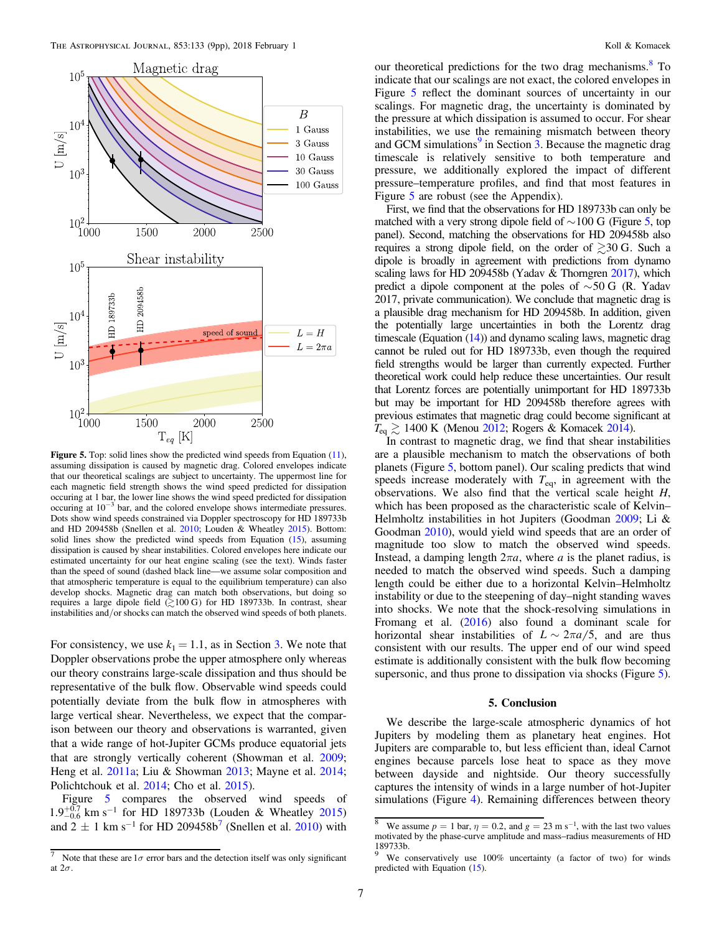<span id="page-6-0"></span>

Figure 5. Top: solid lines show the predicted wind speeds from Equation ([11](#page-4-0)), assuming dissipation is caused by magnetic drag. Colored envelopes indicate that our theoretical scalings are subject to uncertainty. The uppermost line for each magnetic field strength shows the wind speed predicted for dissipation occuring at 1 bar, the lower line shows the wind speed predicted for dissipation occuring at 10−<sup>3</sup> bar, and the colored envelope shows intermediate pressures. Dots show wind speeds constrained via Doppler spectroscopy for HD 189733b and HD 209458b (Snellen et al. [2010;](#page-8-0) Louden & Wheatley [2015](#page-8-0)). Bottom: solid lines show the predicted wind speeds from Equation ([15](#page-5-0)), assuming dissipation is caused by shear instabilities. Colored envelopes here indicate our estimated uncertainty for our heat engine scaling (see the text). Winds faster than the speed of sound (dashed black line—we assume solar composition and that atmospheric temperature is equal to the equilibrium temperature) can also develop shocks. Magnetic drag can match both observations, but doing so requires a large dipole field  $\geq 100$  G) for HD 189733b. In contrast, shear instabilities and/or shocks can match the observed wind speeds of both planets.

For consistency, we use  $k_1 = 1.1$ , as in Section [3.](#page-3-0) We note that Doppler observations probe the upper atmosphere only whereas our theory constrains large-scale dissipation and thus should be representative of the bulk flow. Observable wind speeds could potentially deviate from the bulk flow in atmospheres with large vertical shear. Nevertheless, we expect that the comparison between our theory and observations is warranted, given that a wide range of hot-Jupiter GCMs produce equatorial jets that are strongly vertically coherent (Showman et al. [2009](#page-8-0); Heng et al. [2011a](#page-8-0); Liu & Showman [2013;](#page-8-0) Mayne et al. [2014](#page-8-0); Polichtchouk et al. [2014;](#page-8-0) Cho et al. [2015](#page-8-0)).

Figure 5 compares the observed wind speeds of  $1.9^{+0.7}_{-0.6}$  km s<sup>-1</sup> for HD 189733b (Louden & Wheatley [2015](#page-8-0)) and  $2 \pm 1$  km s<sup>-1</sup> for HD 209458b<sup>7</sup> (Snellen et al. [2010](#page-8-0)) with

our theoretical predictions for the two drag mechanisms.<sup>8</sup> To indicate that our scalings are not exact, the colored envelopes in Figure 5 reflect the dominant sources of uncertainty in our scalings. For magnetic drag, the uncertainty is dominated by the pressure at which dissipation is assumed to occur. For shear instabilities, we use the remaining mismatch between theory and GCM simulations $9$  in Section [3](#page-3-0). Because the magnetic drag timescale is relatively sensitive to both temperature and pressure, we additionally explored the impact of different pressure–temperature profiles, and find that most features in Figure 5 are robust (see the Appendix).

First, we find that the observations for HD 189733b can only be matched with a very strong dipole field of  $\sim$  100 G (Figure 5, top panel). Second, matching the observations for HD 209458b also requires a strong dipole field, on the order of  $\geq 30$  G. Such a dipole is broadly in agreement with predictions from dynamo scaling laws for HD 209458b (Yadav & Thorngren [2017](#page-8-0)), which predict a dipole component at the poles of  $\sim$ 50 G (R. Yadav 2017, private communication). We conclude that magnetic drag is a plausible drag mechanism for HD 209458b. In addition, given the potentially large uncertainties in both the Lorentz drag timescale (Equation ([14](#page-5-0))) and dynamo scaling laws, magnetic drag cannot be ruled out for HD 189733b, even though the required field strengths would be larger than currently expected. Further theoretical work could help reduce these uncertainties. Our result that Lorentz forces are potentially unimportant for HD 189733b but may be important for HD 209458b therefore agrees with previous estimates that magnetic drag could become significant at  $T_{\text{eq}} \gtrsim 1400 \text{ K}$  (Menou [2012;](#page-8-0) Rogers & Komacek [2014](#page-8-0)).

In contrast to magnetic drag, we find that shear instabilities are a plausible mechanism to match the observations of both planets (Figure 5, bottom panel). Our scaling predicts that wind speeds increase moderately with  $T_{eq}$ , in agreement with the observations. We also find that the vertical scale height  $H$ , which has been proposed as the characteristic scale of Kelvin– Helmholtz instabilities in hot Jupiters (Goodman [2009;](#page-8-0) Li & Goodman [2010](#page-8-0)), would yield wind speeds that are an order of magnitude too slow to match the observed wind speeds. Instead, a damping length  $2\pi a$ , where  $a$  is the planet radius, is needed to match the observed wind speeds. Such a damping length could be either due to a horizontal Kelvin–Helmholtz instability or due to the steepening of day–night standing waves into shocks. We note that the shock-resolving simulations in Fromang et al. ([2016](#page-8-0)) also found a dominant scale for horizontal shear instabilities of  $L \sim 2\pi a/5$ , and are thus consistent with our results. The upper end of our wind speed estimate is additionally consistent with the bulk flow becoming supersonic, and thus prone to dissipation via shocks (Figure 5).

## 5. Conclusion

We describe the large-scale atmospheric dynamics of hot Jupiters by modeling them as planetary heat engines. Hot Jupiters are comparable to, but less efficient than, ideal Carnot engines because parcels lose heat to space as they move between dayside and nightside. Our theory successfully captures the intensity of winds in a large number of hot-Jupiter simulations (Figure [4](#page-5-0)). Remaining differences between theory

<sup>&</sup>lt;sup>7</sup> Note that these are  $1\sigma$  error bars and the detection itself was only significant at  $2\sigma$ .

<sup>&</sup>lt;sup>8</sup> We assume  $p = 1$  bar,  $\eta = 0.2$ , and  $g = 23$  m s<sup>-1</sup>, with the last two values motivated by the phase-curve amplitude and mass–radius measurements of HD  $189733b.$ 

We conservatively use 100% uncertainty (a factor of two) for winds predicted with Equation ([15](#page-5-0)).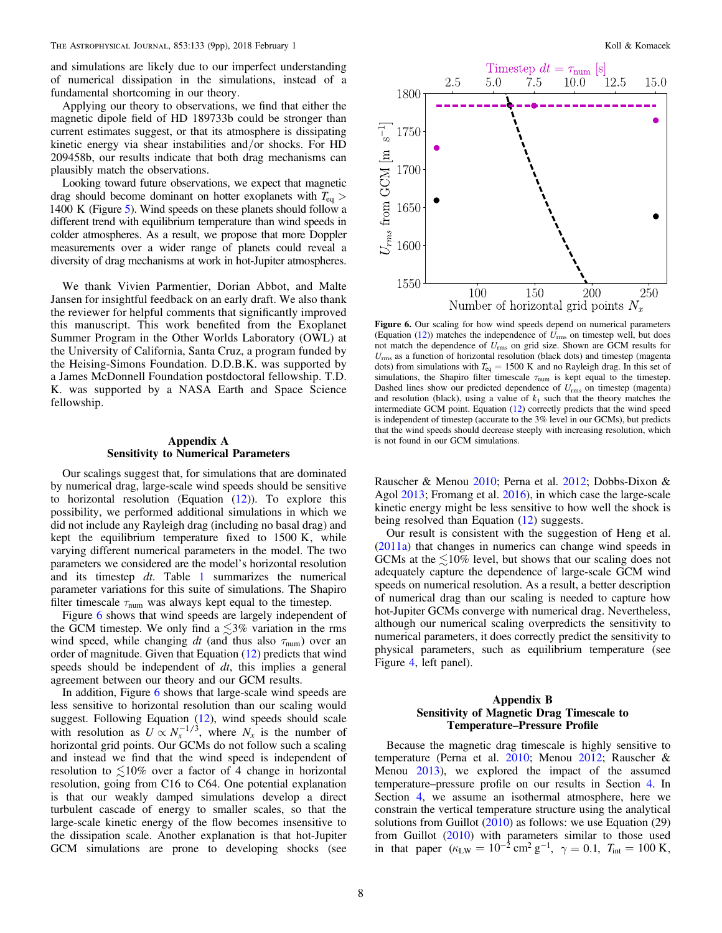and simulations are likely due to our imperfect understanding of numerical dissipation in the simulations, instead of a fundamental shortcoming in our theory.

Applying our theory to observations, we find that either the magnetic dipole field of HD 189733b could be stronger than current estimates suggest, or that its atmosphere is dissipating kinetic energy via shear instabilities and/or shocks. For HD 209458b, our results indicate that both drag mechanisms can plausibly match the observations.

Looking toward future observations, we expect that magnetic drag should become dominant on hotter exoplanets with *T*eq > 1400 K (Figure [5](#page-6-0)). Wind speeds on these planets should follow a different trend with equilibrium temperature than wind speeds in colder atmospheres. As a result, we propose that more Doppler measurements over a wider range of planets could reveal a diversity of drag mechanisms at work in hot-Jupiter atmospheres.

We thank Vivien Parmentier, Dorian Abbot, and Malte Jansen for insightful feedback on an early draft. We also thank the reviewer for helpful comments that significantly improved this manuscript. This work benefited from the Exoplanet Summer Program in the Other Worlds Laboratory (OWL) at the University of California, Santa Cruz, a program funded by the Heising-Simons Foundation. D.D.B.K. was supported by a James McDonnell Foundation postdoctoral fellowship. T.D. K. was supported by a NASA Earth and Space Science fellowship.

# Appendix A Sensitivity to Numerical Parameters

Our scalings suggest that, for simulations that are dominated by numerical drag, large-scale wind speeds should be sensitive to horizontal resolution (Equation  $(12)$  $(12)$  $(12)$ ). To explore this possibility, we performed additional simulations in which we did not include any Rayleigh drag (including no basal drag) and kept the equilibrium temperature fixed to 1500 K, while varying different numerical parameters in the model. The two parameters we considered are the model's horizontal resolution and its timestep dt. Table [1](#page-1-0) summarizes the numerical parameter variations for this suite of simulations. The Shapiro filter timescale  $\tau_{\text{num}}$  was always kept equal to the timestep.

Figure 6 shows that wind speeds are largely independent of the GCM timestep. We only find a  $\leq 3\%$  variation in the rms wind speed, while changing  $dt$  (and thus also  $\tau_{num}$ ) over an order of magnitude. Given that Equation ([12](#page-4-0)) predicts that wind speeds should be independent of dt, this implies a general agreement between our theory and our GCM results.

In addition, Figure 6 shows that large-scale wind speeds are less sensitive to horizontal resolution than our scaling would suggest. Following Equation ([12](#page-4-0)), wind speeds should scale with resolution as  $U \propto N_x^{-1/3}$ , where  $N_x$  is the number of horizontal grid points. Our GCMs do not follow such a scaling and instead we find that the wind speed is independent of resolution to  $\leq 10\%$  over a factor of 4 change in horizontal resolution, going from C16 to C64. One potential explanation is that our weakly damped simulations develop a direct turbulent cascade of energy to smaller scales, so that the large-scale kinetic energy of the flow becomes insensitive to the dissipation scale. Another explanation is that hot-Jupiter GCM simulations are prone to developing shocks (see



Figure 6. Our scaling for how wind speeds depend on numerical parameters (Equation  $(12)$  $(12)$  $(12)$ ) matches the independence of  $U_{\text{rms}}$  on timestep well, but does not match the dependence of  $U_{\text{rms}}$  on grid size. Shown are GCM results for  $U_{\rm rms}$  as a function of horizontal resolution (black dots) and timestep (magenta dots) from simulations with *T*eq = 1500 K and no Rayleigh drag. In this set of simulations, the Shapiro filter timescale  $\tau_{num}$  is kept equal to the timestep. Dashed lines show our predicted dependence of  $U_{\text{rms}}$  on timestep (magenta) and resolution (black), using a value of  $k_1$  such that the theory matches the intermediate GCM point. Equation ([12](#page-4-0)) correctly predicts that the wind speed is independent of timestep (accurate to the 3% level in our GCMs), but predicts that the wind speeds should decrease steeply with increasing resolution, which is not found in our GCM simulations.

Rauscher & Menou [2010](#page-8-0); Perna et al. [2012](#page-8-0); Dobbs-Dixon & Agol [2013](#page-8-0); Fromang et al. [2016](#page-8-0)), in which case the large-scale kinetic energy might be less sensitive to how well the shock is being resolved than Equation ([12](#page-4-0)) suggests.

Our result is consistent with the suggestion of Heng et al. ([2011a](#page-8-0)) that changes in numerics can change wind speeds in GCMs at the  $\leq 10\%$  level, but shows that our scaling does not adequately capture the dependence of large-scale GCM wind speeds on numerical resolution. As a result, a better description of numerical drag than our scaling is needed to capture how hot-Jupiter GCMs converge with numerical drag. Nevertheless, although our numerical scaling overpredicts the sensitivity to numerical parameters, it does correctly predict the sensitivity to physical parameters, such as equilibrium temperature (see Figure [4,](#page-5-0) left panel).

# Appendix B Sensitivity of Magnetic Drag Timescale to Temperature–Pressure Profile

Because the magnetic drag timescale is highly sensitive to temperature (Perna et al. [2010](#page-8-0); Menou [2012;](#page-8-0) Rauscher & Menou [2013](#page-8-0)), we explored the impact of the assumed temperature–pressure profile on our results in Section [4](#page-5-0). In Section [4](#page-5-0), we assume an isothermal atmosphere, here we constrain the vertical temperature structure using the analytical solutions from Guillot ([2010](#page-8-0)) as follows: we use Equation (29) from Guillot ([2010](#page-8-0)) with parameters similar to those used in that paper  $(\kappa_{LW} = 10^{-2} \text{ cm}^2 \text{ g}^{-1}, \gamma = 0.1, T_{int} = 100 \text{ K},$